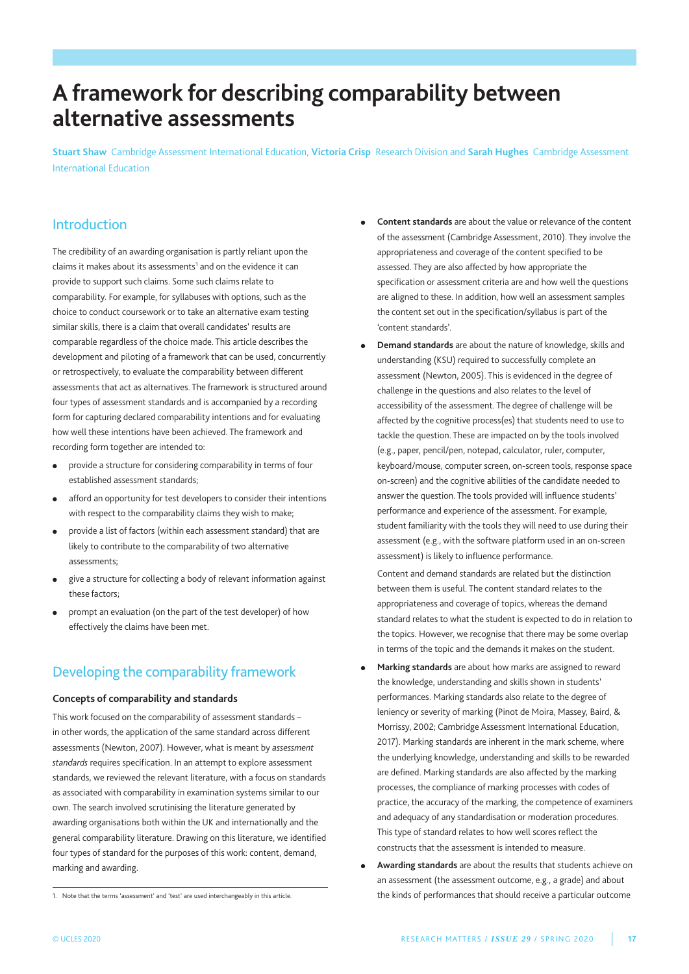# **A framework for describing comparability between alternative assessments**

**Stuart Shaw** Cambridge Assessment International Education, **Victoria Crisp** Research Division and **Sarah Hughes** Cambridge Assessment International Education

# Introduction

the credibility of an awarding organisation is partly reliant upon the claims it makes about its assessments<sup>1</sup> and on the evidence it can provide to support such claims. Some such claims relate to comparability. For example, for syllabuses with options, such as the choice to conduct coursework or to take an alternative exam testing similar skills, there is a claim that overall candidates' results are comparable regardless of the choice made. This article describes the development and piloting of a framework that can be used, concurrently or retrospectively, to evaluate the comparability between different assessments that act as alternatives. The framework is structured around four types of assessment standards and is accompanied by a recording form for capturing declared comparability intentions and for evaluating how well these intentions have been achieved. The framework and recording form together are intended to:

- provide a structure for considering comparability in terms of four established assessment standards;
- afford an opportunity for test developers to consider their intentions with respect to the comparability claims they wish to make;
- provide a list of factors (within each assessment standard) that are likely to contribute to the comparability of two alternative assessments;
- give a structure for collecting a body of relevant information against these factors;
- prompt an evaluation (on the part of the test developer) of how effectively the claims have been met.

# Developing the comparability framework

#### **Concepts of comparability and standards**

This work focused on the comparability of assessment standards in other words, the application of the same standard across different assessments (Newton, 2007). However, what is meant by *assessment standards* requires specification. In an attempt to explore assessment standards, we reviewed the relevant literature, with a focus on standards as associated with comparability in examination systems similar to our own. The search involved scrutinising the literature generated by awarding organisations both within the UK and internationally and the general comparability literature. Drawing on this literature, we identified four types of standard for the purposes of this work: content, demand, marking and awarding.

- <sup>l</sup> **Content standards** are about the value or relevance of the content of the assessment (Cambridge Assessment, 2010). They involve the appropriateness and coverage of the content specified to be assessed. They are also affected by how appropriate the specification or assessment criteria are and how well the questions are aligned to these. In addition, how well an assessment samples the content set out in the specification/syllabus is part of the 'content standards'.
- **•** Demand standards are about the nature of knowledge, skills and understanding (KSU) required to successfully complete an assessment (Newton, 2005). This is evidenced in the degree of challenge in the questions and also relates to the level of accessibility of the assessment. The degree of challenge will be affected by the cognitive process(es) that students need to use to tackle the question. These are impacted on by the tools involved (e.g., paper, pencil/pen, notepad, calculator, ruler, computer, keyboard/mouse, computer screen, on-screen tools, response space on-screen) and the cognitive abilities of the candidate needed to answer the question. The tools provided will influence students' performance and experience of the assessment. For example, student familiarity with the tools they will need to use during their assessment (e.g., with the software platform used in an on-screen assessment) is likely to influence performance.

Content and demand standards are related but the distinction between them is useful. The content standard relates to the appropriateness and coverage of topics, whereas the demand standard relates to what the student is expected to do in relation to the topics. However, we recognise that there may be some overlap in terms of the topic and the demands it makes on the student.

- <sup>l</sup> **Marking standards** are about how marks are assigned to reward the knowledge, understanding and skills shown in students' performances. marking standards also relate to the degree of leniency or severity of marking (Pinot de Moira, Massey, Baird, & morrissy, 2002; Cambridge Assessment International Education, 2017). Marking standards are inherent in the mark scheme, where the underlying knowledge, understanding and skills to be rewarded are defined. marking standards are also affected by the marking processes, the compliance of marking processes with codes of practice, the accuracy of the marking, the competence of examiners and adequacy of any standardisation or moderation procedures. this type of standard relates to how well scores reflect the constructs that the assessment is intended to measure.
- <sup>l</sup> **Awarding standards** are about the results that students achieve on an assessment (the assessment outcome, e.g., a grade) and about the kinds of performances that should receive a particular outcome

<sup>1.</sup> Note that the terms 'assessment' and 'test' are used interchangeably in this article.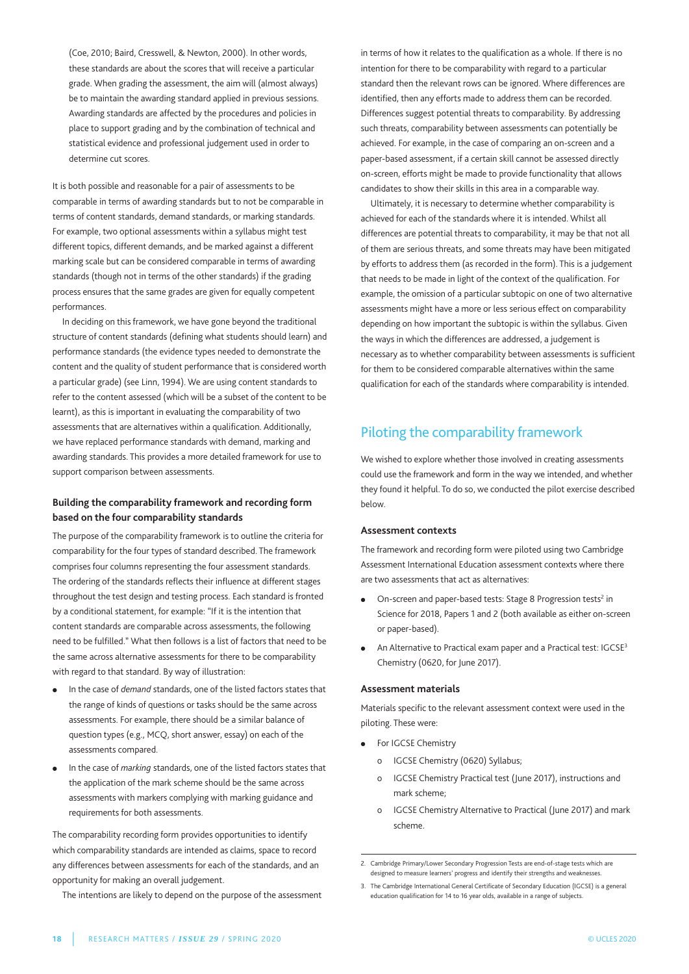(Coe, 2010; Baird, Cresswell, & Newton, 2000). In other words, these standards are about the scores that will receive a particular grade. When grading the assessment, the aim will (almost always) be to maintain the awarding standard applied in previous sessions. Awarding standards are affected by the procedures and policies in place to support grading and by the combination of technical and statistical evidence and professional judgement used in order to determine cut scores.

It is both possible and reasonable for a pair of assessments to be comparable in terms of awarding standards but to not be comparable in terms of content standards, demand standards, or marking standards. For example, two optional assessments within a syllabus might test different topics, different demands, and be marked against a different marking scale but can be considered comparable in terms of awarding standards (though not in terms of the other standards) if the grading process ensures that the same grades are given for equally competent performances.

In deciding on this framework, we have gone beyond the traditional structure of content standards (defining what students should learn) and performance standards (the evidence types needed to demonstrate the content and the quality of student performance that is considered worth a particular grade) (see Linn, 1994). We are using content standards to refer to the content assessed (which will be a subset of the content to be learnt), as this is important in evaluating the comparability of two assessments that are alternatives within a qualification. Additionally, we have replaced performance standards with demand, marking and awarding standards. This provides a more detailed framework for use to support comparison between assessments.

### **Building the comparability framework and recording form based on the four comparability standards**

the purpose of the comparability framework is to outline the criteria for comparability for the four types of standard described. The framework comprises four columns representing the four assessment standards. the ordering of the standards reflects their influence at different stages throughout the test design and testing process. Each standard is fronted by a conditional statement, for example: "If it is the intention that content standards are comparable across assessments, the following need to be fulfilled." What then follows is a list of factors that need to be the same across alternative assessments for there to be comparability with regard to that standard. By way of illustration:

- In the case of *demand* standards, one of the listed factors states that the range of kinds of questions or tasks should be the same across assessments. For example, there should be a similar balance of question types (e.g., mCQ, short answer, essay) on each of the assessments compared.
- In the case of *marking* standards, one of the listed factors states that the application of the mark scheme should be the same across assessments with markers complying with marking guidance and requirements for both assessments.

the comparability recording form provides opportunities to identify which comparability standards are intended as claims, space to record any differences between assessments for each of the standards, and an opportunity for making an overall judgement.

The intentions are likely to depend on the purpose of the assessment

in terms of how it relates to the qualification as a whole. If there is no intention for there to be comparability with regard to a particular standard then the relevant rows can be ignored. Where differences are identified, then any efforts made to address them can be recorded. Differences suggest potential threats to comparability. By addressing such threats, comparability between assessments can potentially be achieved. For example, in the case of comparing an on-screen and a paper-based assessment, if a certain skill cannot be assessed directly on-screen, efforts might be made to provide functionality that allows candidates to show their skills in this area in a comparable way.

Ultimately, it is necessary to determine whether comparability is achieved for each of the standards where it is intended. Whilst all differences are potential threats to comparability, it may be that not all of them are serious threats, and some threats may have been mitigated by efforts to address them (as recorded in the form). This is a judgement that needs to be made in light of the context of the qualification. For example, the omission of a particular subtopic on one of two alternative assessments might have a more or less serious effect on comparability depending on how important the subtopic is within the syllabus. Given the ways in which the differences are addressed, a judgement is necessary as to whether comparability between assessments is sufficient for them to be considered comparable alternatives within the same qualification for each of the standards where comparability is intended.

# Piloting the comparability framework

We wished to explore whether those involved in creating assessments could use the framework and form in the way we intended, and whether they found it helpful. To do so, we conducted the pilot exercise described below.

#### **Assessment contexts**

the framework and recording form were piloted using two Cambridge Assessment International Education assessment contexts where there are two assessments that act as alternatives:

- On-screen and paper-based tests: Stage 8 Progression tests<sup>2</sup> in Science for 2018, Papers 1 and 2 (both available as either on-screen or paper-based).
- An Alternative to Practical exam paper and a Practical test: IGCSE<sup>3</sup> Chemistry (0620, for June 2017).

#### **Assessment materials**

materials specific to the relevant assessment context were used in the piloting. These were:

- For IGCSE Chemistry
	- o IGCSE Chemistry (0620) Syllabus;
	- o IGCSE Chemistry Practical test (June 2017), instructions and mark scheme;
	- o IGCSE Chemistry Alternative to Practical (June 2017) and mark scheme.

<sup>2.</sup> Cambridge Primary/Lower Secondary Progression Tests are end-of-stage tests which are designed to measure learners' progress and identify their strengths and weaknesses.

<sup>3.</sup> the Cambridge International General Certificate of Secondary Education (IGCSE) is a general education qualification for 14 to 16 year olds, available in a range of subjects.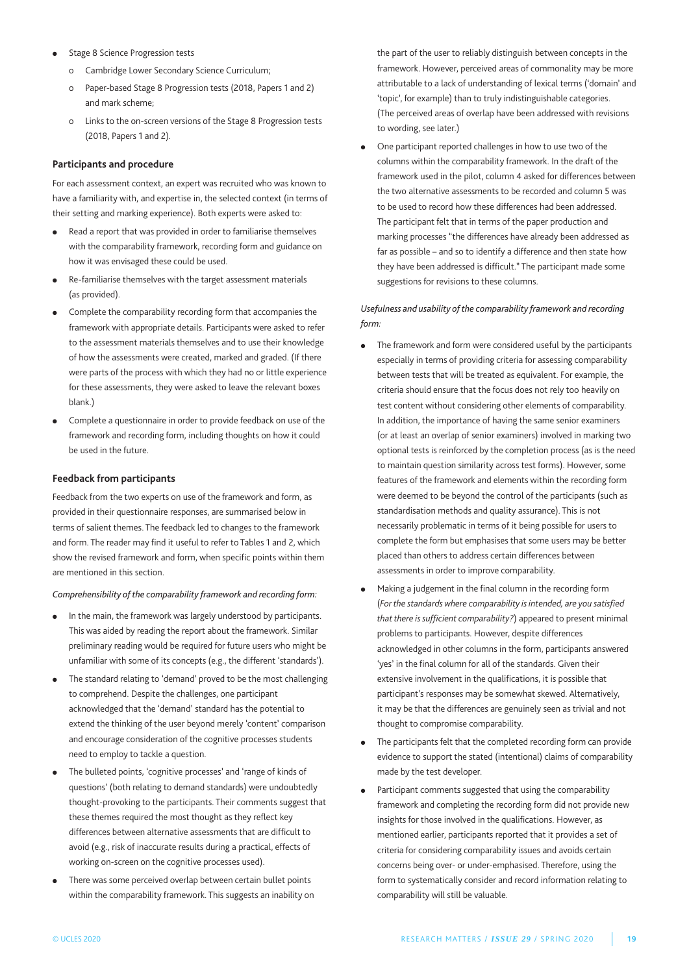- **Stage 8 Science Progression tests** 
	- o Cambridge Lower Secondary Science Curriculum;
	- o Paper-based Stage 8 Progression tests (2018, Papers 1 and 2) and mark scheme;
	- o Links to the on-screen versions of the Stage 8 Progression tests (2018, Papers 1 and 2).

#### **Participants and procedure**

For each assessment context, an expert was recruited who was known to have a familiarity with, and expertise in, the selected context (in terms of their setting and marking experience). Both experts were asked to:

- $\bullet$  Read a report that was provided in order to familiarise themselves with the comparability framework, recording form and guidance on how it was envisaged these could be used.
- Re-familiarise themselves with the target assessment materials (as provided).
- Complete the comparability recording form that accompanies the framework with appropriate details. Participants were asked to refer to the assessment materials themselves and to use their knowledge of how the assessments were created, marked and graded. (If there were parts of the process with which they had no or little experience for these assessments, they were asked to leave the relevant boxes blank.)
- Complete a questionnaire in order to provide feedback on use of the framework and recording form, including thoughts on how it could be used in the future.

#### **Feedback from participants**

Feedback from the two experts on use of the framework and form, as provided in their questionnaire responses, are summarised below in terms of salient themes. The feedback led to changes to the framework and form. The reader may find it useful to refer to Tables 1 and 2, which show the revised framework and form, when specific points within them are mentioned in this section.

#### *Comprehensibility of the comparability framework and recording form:*

- In the main, the framework was largely understood by participants. this was aided by reading the report about the framework. Similar preliminary reading would be required for future users who might be unfamiliar with some of its concepts (e.g., the different 'standards').
- The standard relating to 'demand' proved to be the most challenging to comprehend. Despite the challenges, one participant acknowledged that the 'demand' standard has the potential to extend the thinking of the user beyond merely 'content' comparison and encourage consideration of the cognitive processes students need to employ to tackle a question.
- The bulleted points, 'cognitive processes' and 'range of kinds of questions' (both relating to demand standards) were undoubtedly thought-provoking to the participants. Their comments suggest that these themes required the most thought as they reflect key differences between alternative assessments that are difficult to avoid (e.g., risk of inaccurate results during a practical, effects of working on-screen on the cognitive processes used).
- There was some perceived overlap between certain bullet points within the comparability framework. This suggests an inability on

the part of the user to reliably distinguish between concepts in the framework. However, perceived areas of commonality may be more attributable to a lack of understanding of lexical terms ('domain' and 'topic', for example) than to truly indistinguishable categories. (The perceived areas of overlap have been addressed with revisions to wording, see later.)

One participant reported challenges in how to use two of the columns within the comparability framework. In the draft of the framework used in the pilot, column 4 asked for differences between the two alternative assessments to be recorded and column 5 was to be used to record how these differences had been addressed. The participant felt that in terms of the paper production and marking processes "the differences have already been addressed as far as possible – and so to identify a difference and then state how they have been addressed is difficult." The participant made some suggestions for revisions to these columns.

### *Usefulness and usability of the comparability framework and recording form:*

- The framework and form were considered useful by the participants especially in terms of providing criteria for assessing comparability between tests that will be treated as equivalent. For example, the criteria should ensure that the focus does not rely too heavily on test content without considering other elements of comparability. In addition, the importance of having the same senior examiners (or at least an overlap of senior examiners) involved in marking two optional tests is reinforced by the completion process (as is the need to maintain question similarity across test forms). However, some features of the framework and elements within the recording form were deemed to be beyond the control of the participants (such as standardisation methods and quality assurance). This is not necessarily problematic in terms of it being possible for users to complete the form but emphasises that some users may be better placed than others to address certain differences between assessments in order to improve comparability.
- <sup>l</sup> making a judgement in the final column in the recording form (*For the standards where comparability is intended, are you satisfied that there is sufficient comparability?*) appeared to present minimal problems to participants. However, despite differences acknowledged in other columns in the form, participants answered 'yes' in the final column for all of the standards. Given their extensive involvement in the qualifications, it is possible that participant's responses may be somewhat skewed. Alternatively, it may be that the differences are genuinely seen as trivial and not thought to compromise comparability.
- The participants felt that the completed recording form can provide evidence to support the stated (intentional) claims of comparability made by the test developer.
- Participant comments suggested that using the comparability framework and completing the recording form did not provide new insights for those involved in the qualifications. However, as mentioned earlier, participants reported that it provides a set of criteria for considering comparability issues and avoids certain concerns being over- or under-emphasised. therefore, using the form to systematically consider and record information relating to comparability will still be valuable.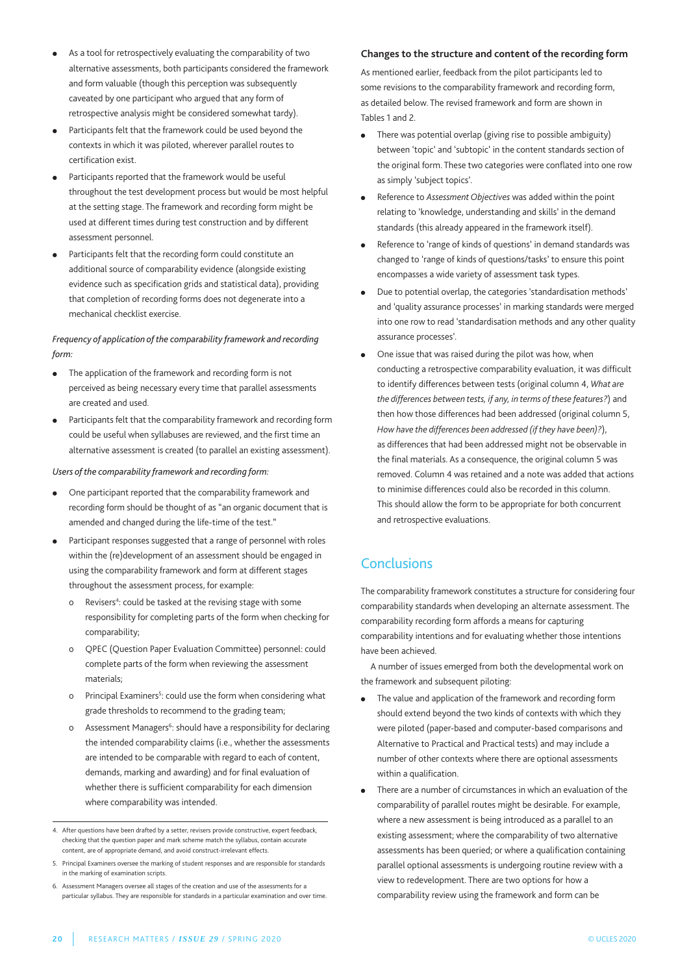- As a tool for retrospectively evaluating the comparability of two alternative assessments, both participants considered the framework and form valuable (though this perception was subsequently caveated by one participant who argued that any form of retrospective analysis might be considered somewhat tardy).
- Participants felt that the framework could be used beyond the contexts in which it was piloted, wherever parallel routes to certification exist.
- Participants reported that the framework would be useful throughout the test development process but would be most helpful at the setting stage. The framework and recording form might be used at different times during test construction and by different assessment personnel.
- Participants felt that the recording form could constitute an additional source of comparability evidence (alongside existing evidence such as specification grids and statistical data), providing that completion of recording forms does not degenerate into a mechanical checklist exercise.

### *Frequency of application of the comparability framework and recording form:*

- The application of the framework and recording form is not perceived as being necessary every time that parallel assessments are created and used.
- Participants felt that the comparability framework and recording form could be useful when syllabuses are reviewed, and the first time an alternative assessment is created (to parallel an existing assessment).

#### *Users of the comparability framework and recording form:*

- <sup>l</sup> One participant reported that the comparability framework and recording form should be thought of as "an organic document that is amended and changed during the life-time of the test."
- Participant responses suggested that a range of personnel with roles within the (re)development of an assessment should be engaged in using the comparability framework and form at different stages throughout the assessment process, for example:
	- o Revisers<sup>4</sup>: could be tasked at the revising stage with some responsibility for completing parts of the form when checking for comparability;
	- o QPEC (Question Paper Evaluation Committee) personnel: could complete parts of the form when reviewing the assessment materials;
	- o Principal Examiners<sup>5</sup>: could use the form when considering what grade thresholds to recommend to the grading team;
	- o Assessment Managers<sup>6</sup>: should have a responsibility for declaring the intended comparability claims (i.e., whether the assessments are intended to be comparable with regard to each of content, demands, marking and awarding) and for final evaluation of whether there is sufficient comparability for each dimension where comparability was intended.

### **Changes to the structure and content of the recording form**

As mentioned earlier, feedback from the pilot participants led to some revisions to the comparability framework and recording form, as detailed below. The revised framework and form are shown in Tables 1 and 2.

- $\bullet$  There was potential overlap (giving rise to possible ambiguity) between 'topic' and 'subtopic' in the content standards section of the original form. These two categories were conflated into one row as simply 'subject topics'.
- <sup>l</sup> Reference to *Assessment Objectives* was added within the point relating to 'knowledge, understanding and skills' in the demand standards (this already appeared in the framework itself).
- Reference to 'range of kinds of questions' in demand standards was changed to 'range of kinds of questions/tasks' to ensure this point encompasses a wide variety of assessment task types.
- Due to potential overlap, the categories 'standardisation methods' and 'quality assurance processes' in marking standards were merged into one row to read 'standardisation methods and any other quality assurance processes'.
- One issue that was raised during the pilot was how, when conducting a retrospective comparability evaluation, it was difficult to identify differences between tests (original column 4, *What are the differences between tests, if any, in terms of these features?*) and then how those differences had been addressed (original column 5, *How have the differences been addressed (if they have been)?*), as differences that had been addressed might not be observable in the final materials. As a consequence, the original column 5 was removed. Column 4 was retained and a note was added that actions to minimise differences could also be recorded in this column. This should allow the form to be appropriate for both concurrent and retrospective evaluations.

# **Conclusions**

the comparability framework constitutes a structure for considering four comparability standards when developing an alternate assessment. The comparability recording form affords a means for capturing comparability intentions and for evaluating whether those intentions have been achieved.

A number of issues emerged from both the developmental work on the framework and subsequent piloting:

- The value and application of the framework and recording form should extend beyond the two kinds of contexts with which they were piloted (paper-based and computer-based comparisons and Alternative to Practical and Practical tests) and may include a number of other contexts where there are optional assessments within a qualification.
- There are a number of circumstances in which an evaluation of the comparability of parallel routes might be desirable. For example, where a new assessment is being introduced as a parallel to an existing assessment; where the comparability of two alternative assessments has been queried; or where a qualification containing parallel optional assessments is undergoing routine review with a view to redevelopment. There are two options for how a comparability review using the framework and form can be

<sup>4.</sup> After questions have been drafted by a setter, revisers provide constructive, expert feedback, checking that the question paper and mark scheme match the syllabus, contain accurate content, are of appropriate demand, and avoid construct-irrelevant effects.

<sup>5.</sup> Principal Examiners oversee the marking of student responses and are responsible for standards in the marking of examination scripts.

<sup>6.</sup> Assessment managers oversee all stages of the creation and use of the assessments for a particular syllabus. They are responsible for standards in a particular examination and over time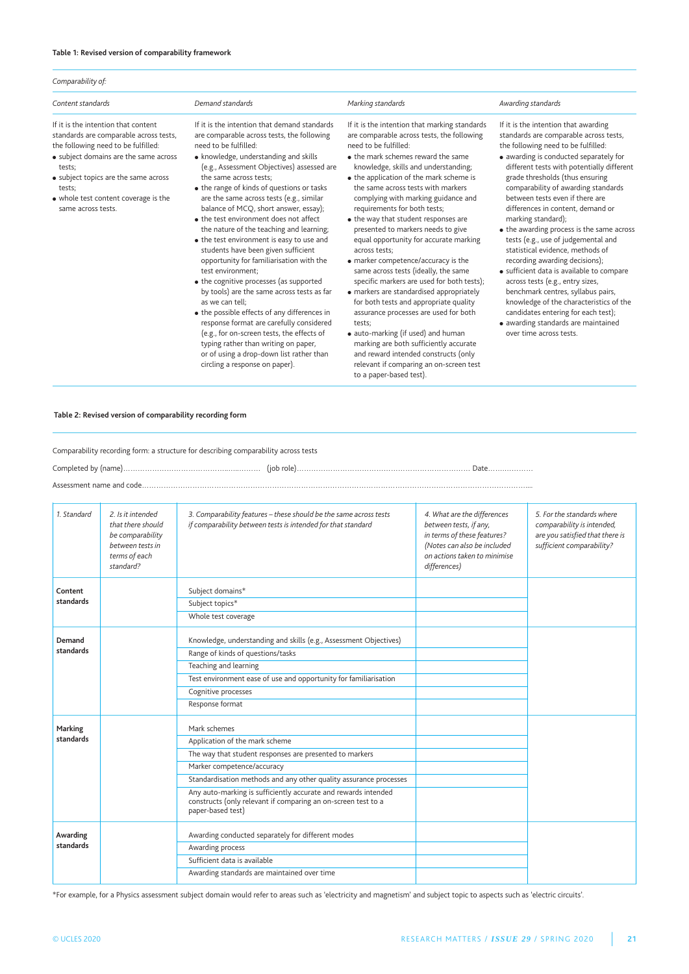#### **Table 1: Revised version of comparability framework**

| Comparability of:                                                                                                                                                                                                                                                                       |                                                                                                                                                                                                                                                                                                                                                                                                                                                                                                                                                                                                                                                                                                                                                                                                                                                                                                                                                                                                |                                                                                                                                                                                                                                                                                                                                                                                                                                                                                                                                                                                                                                                                                                                                                                                                                                                                                                                                                                         |                                                                                                                                                                                                                                                                                                                                                                                                                                                                                                                                                                                                                                                                                                                                                                                                                            |  |  |
|-----------------------------------------------------------------------------------------------------------------------------------------------------------------------------------------------------------------------------------------------------------------------------------------|------------------------------------------------------------------------------------------------------------------------------------------------------------------------------------------------------------------------------------------------------------------------------------------------------------------------------------------------------------------------------------------------------------------------------------------------------------------------------------------------------------------------------------------------------------------------------------------------------------------------------------------------------------------------------------------------------------------------------------------------------------------------------------------------------------------------------------------------------------------------------------------------------------------------------------------------------------------------------------------------|-------------------------------------------------------------------------------------------------------------------------------------------------------------------------------------------------------------------------------------------------------------------------------------------------------------------------------------------------------------------------------------------------------------------------------------------------------------------------------------------------------------------------------------------------------------------------------------------------------------------------------------------------------------------------------------------------------------------------------------------------------------------------------------------------------------------------------------------------------------------------------------------------------------------------------------------------------------------------|----------------------------------------------------------------------------------------------------------------------------------------------------------------------------------------------------------------------------------------------------------------------------------------------------------------------------------------------------------------------------------------------------------------------------------------------------------------------------------------------------------------------------------------------------------------------------------------------------------------------------------------------------------------------------------------------------------------------------------------------------------------------------------------------------------------------------|--|--|
| Content standards                                                                                                                                                                                                                                                                       | Demand standards                                                                                                                                                                                                                                                                                                                                                                                                                                                                                                                                                                                                                                                                                                                                                                                                                                                                                                                                                                               | Marking standards                                                                                                                                                                                                                                                                                                                                                                                                                                                                                                                                                                                                                                                                                                                                                                                                                                                                                                                                                       | Awarding standards                                                                                                                                                                                                                                                                                                                                                                                                                                                                                                                                                                                                                                                                                                                                                                                                         |  |  |
| If it is the intention that content<br>standards are comparable across tests,<br>the following need to be fulfilled:<br>• subject domains are the same across<br>tests;<br>• subject topics are the same across<br>tests:<br>• whole test content coverage is the<br>same across tests. | If it is the intention that demand standards<br>are comparable across tests, the following<br>need to be fulfilled:<br>• knowledge, understanding and skills<br>(e.g., Assessment Objectives) assessed are<br>the same across tests:<br>• the range of kinds of questions or tasks<br>are the same across tests (e.g., similar<br>balance of MCQ, short answer, essay);<br>• the test environment does not affect<br>the nature of the teaching and learning;<br>• the test environment is easy to use and<br>students have been given sufficient<br>opportunity for familiarisation with the<br>test environment:<br>• the cognitive processes (as supported<br>by tools) are the same across tests as far<br>as we can tell:<br>• the possible effects of any differences in<br>response format are carefully considered<br>(e.g., for on-screen tests, the effects of<br>typing rather than writing on paper,<br>or of using a drop-down list rather than<br>circling a response on paper). | If it is the intention that marking standards<br>are comparable across tests, the following<br>need to be fulfilled:<br>• the mark schemes reward the same<br>knowledge, skills and understanding;<br>• the application of the mark scheme is<br>the same across tests with markers<br>complying with marking guidance and<br>requirements for both tests;<br>• the way that student responses are<br>presented to markers needs to give<br>equal opportunity for accurate marking<br>across tests:<br>• marker competence/accuracy is the<br>same across tests (ideally, the same<br>specific markers are used for both tests);<br>• markers are standardised appropriately<br>for both tests and appropriate quality<br>assurance processes are used for both<br>tests:<br>• auto-marking (if used) and human<br>marking are both sufficiently accurate<br>and reward intended constructs (only<br>relevant if comparing an on-screen test<br>to a paper-based test). | If it is the intention that awarding<br>standards are comparable across tests,<br>the following need to be fulfilled:<br>• awarding is conducted separately for<br>different tests with potentially different<br>grade thresholds (thus ensuring<br>comparability of awarding standards<br>between tests even if there are<br>differences in content, demand or<br>marking standard);<br>• the awarding process is the same across<br>tests (e.g., use of judgemental and<br>statistical evidence, methods of<br>recording awarding decisions);<br>• sufficient data is available to compare<br>across tests (e.g., entry sizes,<br>benchmark centres, syllabus pairs,<br>knowledge of the characteristics of the<br>candidates entering for each test);<br>• awarding standards are maintained<br>over time across tests. |  |  |

#### **Table 2: Revised version of comparability recording form**

Comparability recording form: a structure for describing comparability across tests

Completed by (name)……………………………………..…..……… (job role)……………………………………………………………… Date…….…………

Assessment name and code……………………………………………………………………………………………………………………………………………....

| 1. Standard                                                               | 2. Is it intended<br>that there should<br>be comparability<br>between tests in<br>terms of each<br>standard? | 3. Comparability features - these should be the same across tests<br>if comparability between tests is intended for that standard                    | 4. What are the differences<br>between tests, if any,<br>in terms of these features?<br>(Notes can also be included<br>on actions taken to minimise<br>differences) | 5. For the standards where<br>comparability is intended,<br>are you satisfied that there is<br>sufficient comparability? |
|---------------------------------------------------------------------------|--------------------------------------------------------------------------------------------------------------|------------------------------------------------------------------------------------------------------------------------------------------------------|---------------------------------------------------------------------------------------------------------------------------------------------------------------------|--------------------------------------------------------------------------------------------------------------------------|
| Content                                                                   |                                                                                                              | Subject domains*                                                                                                                                     |                                                                                                                                                                     |                                                                                                                          |
| standards                                                                 |                                                                                                              | Subject topics*                                                                                                                                      |                                                                                                                                                                     |                                                                                                                          |
|                                                                           |                                                                                                              | Whole test coverage                                                                                                                                  |                                                                                                                                                                     |                                                                                                                          |
| Demand                                                                    |                                                                                                              | Knowledge, understanding and skills (e.g., Assessment Objectives)                                                                                    |                                                                                                                                                                     |                                                                                                                          |
| standards                                                                 |                                                                                                              | Range of kinds of questions/tasks                                                                                                                    |                                                                                                                                                                     |                                                                                                                          |
|                                                                           |                                                                                                              | Teaching and learning                                                                                                                                |                                                                                                                                                                     |                                                                                                                          |
|                                                                           |                                                                                                              | Test environment ease of use and opportunity for familiarisation                                                                                     |                                                                                                                                                                     |                                                                                                                          |
|                                                                           |                                                                                                              | Cognitive processes                                                                                                                                  |                                                                                                                                                                     |                                                                                                                          |
|                                                                           |                                                                                                              | Response format                                                                                                                                      |                                                                                                                                                                     |                                                                                                                          |
| Marking                                                                   |                                                                                                              | Mark schemes                                                                                                                                         |                                                                                                                                                                     |                                                                                                                          |
| standards<br>Application of the mark scheme<br>Marker competence/accuracy |                                                                                                              |                                                                                                                                                      |                                                                                                                                                                     |                                                                                                                          |
|                                                                           |                                                                                                              | The way that student responses are presented to markers                                                                                              |                                                                                                                                                                     |                                                                                                                          |
|                                                                           |                                                                                                              |                                                                                                                                                      |                                                                                                                                                                     |                                                                                                                          |
|                                                                           |                                                                                                              | Standardisation methods and any other quality assurance processes                                                                                    |                                                                                                                                                                     |                                                                                                                          |
|                                                                           |                                                                                                              | Any auto-marking is sufficiently accurate and rewards intended<br>constructs (only relevant if comparing an on-screen test to a<br>paper-based test) |                                                                                                                                                                     |                                                                                                                          |
| Awarding                                                                  |                                                                                                              | Awarding conducted separately for different modes                                                                                                    |                                                                                                                                                                     |                                                                                                                          |
| standards                                                                 |                                                                                                              | Awarding process                                                                                                                                     |                                                                                                                                                                     |                                                                                                                          |
|                                                                           |                                                                                                              | Sufficient data is available                                                                                                                         |                                                                                                                                                                     |                                                                                                                          |
|                                                                           |                                                                                                              | Awarding standards are maintained over time                                                                                                          |                                                                                                                                                                     |                                                                                                                          |

\*For example, for a Physics assessment subject domain would refer to areas such as 'electricity and magnetism' and subject topic to aspects such as 'electric circuits'.